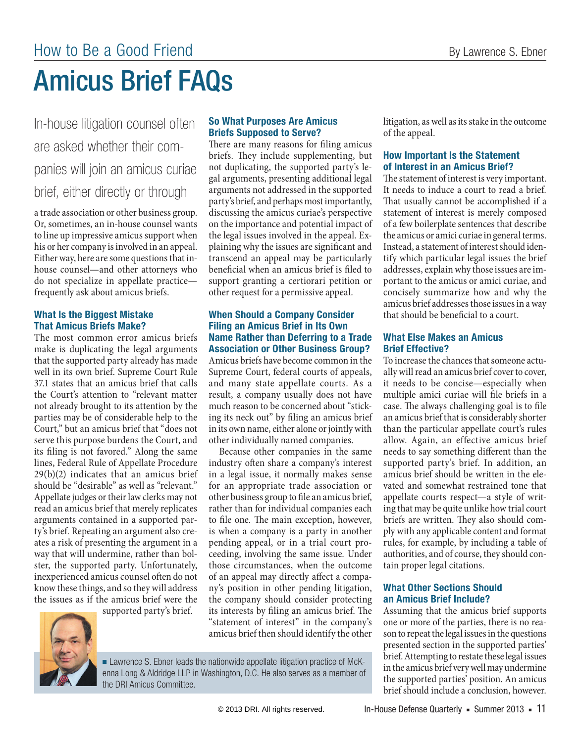# Amicus Brief FAQs

In-house litigation counsel often are asked whether their companies will join an amicus curiae brief, either directly or through

a trade association or other business group. Or, sometimes, an in-house counsel wants to line up impressive amicus support when his or her company is involved in an appeal. Either way, here are some questions that inhouse counsel—and other attorneys who do not specialize in appellate practice frequently ask about amicus briefs.

# **What Is the Biggest Mistake That Amicus Briefs Make?**

The most common error amicus briefs make is duplicating the legal arguments that the supported party already has made well in its own brief. Supreme Court Rule 37.1 states that an amicus brief that calls the Court's attention to "relevant matter not already brought to its attention by the parties may be of considerable help to the Court," but an amicus brief that "does not serve this purpose burdens the Court, and its filing is not favored." Along the same lines, Federal Rule of Appellate Procedure 29(b)(2) indicates that an amicus brief should be "desirable" as well as "relevant." Appellate judges or their law clerks may not read an amicus brief that merely replicates arguments contained in a supported party's brief*.* Repeating an argument also creates a risk of presenting the argument in a way that will undermine, rather than bolster, the supported party. Unfortunately, inexperienced amicus counsel often do not know these things, and so they will address the issues as if the amicus brief were the supported party's brief.

#### **So What Purposes Are Amicus Briefs Supposed to Serve?**

There are many reasons for filing amicus briefs*.* They include supplementing, but not duplicating, the supported party's legal arguments, presenting additional legal arguments not addressed in the supported party's brief, and perhaps most importantly, discussing the amicus curiae's perspective on the importance and potential impact of the legal issues involved in the appeal*.* Explaining why the issues are significant and transcend an appeal may be particularly beneficial when an amicus brief is filed to support granting a certiorari petition or other request for a permissive appeal.

#### **When Should a Company Consider Filing an Amicus Brief in Its Own Name Rather than Deferring to a Trade Association or Other Business Group?**

Amicus briefs have become common in the Supreme Court, federal courts of appeals, and many state appellate courts*.* As a result, a company usually does not have much reason to be concerned about "sticking its neck out" by filing an amicus brief in its own name, either alone or jointly with other individually named companies.

Because other companies in the same industry often share a company's interest in a legal issue, it normally makes sense for an appropriate trade association or other business group to file an amicus brief, rather than for individual companies each to file one*.* The main exception, however, is when a company is a party in another pending appeal, or in a trial court proceeding, involving the same issue*.* Under those circumstances, when the outcome of an appeal may directly affect a company's position in other pending litigation, the company should consider protecting its interests by filing an amicus brief. The "statement of interest" in the company's amicus brief then should identify the other litigation, as well as its stake in the outcome of the appeal.

# **How Important Is the Statement of Interest in an Amicus Brief?**

The statement of interest is very important. It needs to induce a court to read a brief*.*  That usually cannot be accomplished if a statement of interest is merely composed of a few boilerplate sentences that describe the amicus or amici curiae in general terms. Instead, a statement of interest should identify which particular legal issues the brief addresses, explain why those issues are important to the amicus or amici curiae, and concisely summarize how and why the amicus brief addresses those issues in a way that should be beneficial to a court.

# **What Else Makes an Amicus Brief Effective?**

To increase the chances that someone actually will read an amicus brief cover to cover, it needs to be concise—especially when multiple amici curiae will file briefs in a case. The always challenging goal is to file an amicus brief that is considerably shorter than the particular appellate court's rules allow. Again, an effective amicus brief needs to say something different than the supported party's brief. In addition, an amicus brief should be written in the elevated and somewhat restrained tone that appellate courts respect—a style of writing that may be quite unlike how trial court briefs are written. They also should comply with any applicable content and format rules, for example, by including a table of authorities, and of course, they should contain proper legal citations.

#### **What Other Sections Should an Amicus Brief Include?**

Assuming that the amicus brief supports one or more of the parties, there is no reason to repeat the legal issues in the questions presented section in the supported parties' brief. Attempting to restate these legal issues in the amicus brief very well may undermine the supported parties' position. An amicus brief should include a conclusion, however.

■ Lawrence S. Ebner leads the nationwide appellate litigation practice of McKenna Long & Aldridge LLP in Washington, D.C. He also serves as a member of the DRI Amicus Committee.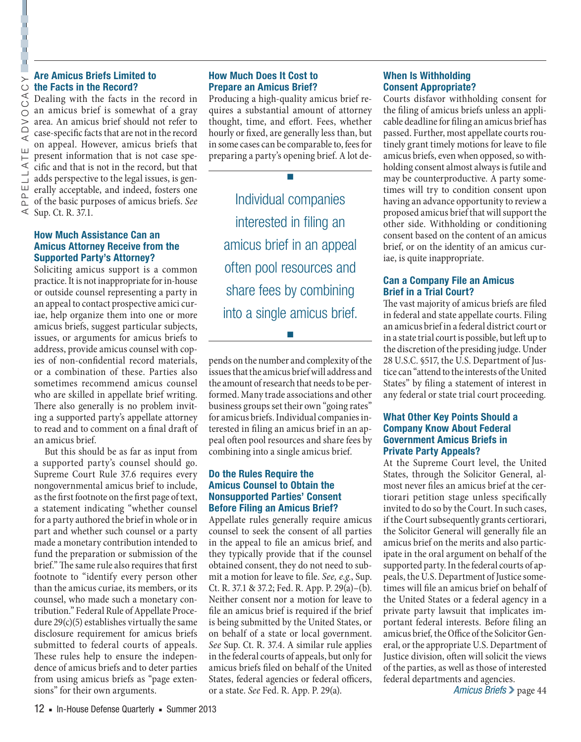# **the Facts in the Record?**

Are **Amicus Briefs Limited to**<br>  $\bigcirc$  **the Facts in the Record?**<br>  $\bigcirc$  Dealing with the facts in the<br>  $\bigcirc$  an amicus brief is somewhat<br>  $>$  area. An amicus brief should no<br>  $\bigcirc$  case-specific facts that are not in<br>  $\big$ Dealing with the facts in the record in an amicus brief is somewhat of a gray area. An amicus brief should not refer to case-specific facts that are not in the record on appeal. However, amicus briefs that present information that is not case specific and that is not in the record, but that adds perspective to the legal issues, is generally acceptable, and indeed, fosters one of the basic purposes of amicus briefs. *See*  Sup. Ct. R. 37.1.

#### **How Much Assistance Can an Amicus Attorney Receive from the Supported Party's Attorney?**

Soliciting amicus support is a common practice. It is not inappropriate for in-house or outside counsel representing a party in an appeal to contact prospective amici curiae, help organize them into one or more amicus briefs, suggest particular subjects, issues, or arguments for amicus briefs to address, provide amicus counsel with copies of non-confidential record materials, or a combination of these. Parties also sometimes recommend amicus counsel who are skilled in appellate brief writing. There also generally is no problem inviting a supported party's appellate attorney to read and to comment on a final draft of an amicus brief.

But this should be as far as input from a supported party's counsel should go. Supreme Court Rule 37.6 requires every nongovernmental amicus brief to include, as the first footnote on the first page of text, a statement indicating "whether counsel for a party authored the brief in whole or in part and whether such counsel or a party made a monetary contribution intended to fund the preparation or submission of the brief." The same rule also requires that first footnote to "identify every person other than the amicus curiae, its members, or its counsel, who made such a monetary contribution." Federal Rule of Appellate Procedure  $29(c)(5)$  establishes virtually the same disclosure requirement for amicus briefs submitted to federal courts of appeals. These rules help to ensure the independence of amicus briefs and to deter parties from using amicus briefs as "page extensions" for their own arguments.

# **How Much Does It Cost to Prepare an Amicus Brief?**

Producing a high-quality amicus brief requires a substantial amount of attorney thought, time, and effort. Fees, whether hourly or fixed, are generally less than, but in some cases can be comparable to, fees for preparing a party's opening brief. A lot de-

■

Individual companies interested in filing an amicus brief in an appeal often pool resources and share fees by combining into a single amicus brief.

pends on the number and complexity of the issues that the amicus brief will address and the amount of research that needs to be performed. Many trade associations and other business groups set their own "going rates" for amicus briefs. Individual companies interested in filing an amicus brief in an appeal often pool resources and share fees by combining into a single amicus brief.

■

#### **Do the Rules Require the Amicus Counsel to Obtain the Nonsupported Parties' Consent Before Filing an Amicus Brief?**

Appellate rules generally require amicus counsel to seek the consent of all parties in the appeal to file an amicus brief, and they typically provide that if the counsel obtained consent, they do not need to submit a motion for leave to file. *See, e.g.*, Sup. Ct. R. 37.1 & 37.2; Fed. R. App. P. 29(a)–(b). Neither consent nor a motion for leave to file an amicus brief is required if the brief is being submitted by the United States, or on behalf of a state or local government. *See* Sup. Ct. R. 37.4. A similar rule applies in the federal courts of appeals, but only for amicus briefs filed on behalf of the United States, federal agencies or federal officers, or a state. *See* Fed. R. App. P. 29(a).

# **When Is Withholding Consent Appropriate?**

Courts disfavor withholding consent for the filing of amicus briefs unless an applicable deadline for filing an amicus brief has passed. Further, most appellate courts routinely grant timely motions for leave to file amicus briefs, even when opposed, so withholding consent almost always is futile and may be counterproductive. A party sometimes will try to condition consent upon having an advance opportunity to review a proposed amicus brief that will support the other side. Withholding or conditioning consent based on the content of an amicus brief, or on the identity of an amicus curiae, is quite inappropriate.

# **Can a Company File an Amicus Brief in a Trial Court?**

The vast majority of amicus briefs are filed in federal and state appellate courts. Filing an amicus brief in a federal district court or in a state trial court is possible, but left up to the discretion of the presiding judge. Under 28 U.S.C. §517, the U.S. Department of Justice can "attend to the interests of the United States" by filing a statement of interest in any federal or state trial court proceeding.

#### **What Other Key Points Should a Company Know About Federal Government Amicus Briefs in Private Party Appeals?**

At the Supreme Court level, the United States, through the Solicitor General, almost never files an amicus brief at the certiorari petition stage unless specifically invited to do so by the Court. In such cases, if the Court subsequently grants certiorari, the Solicitor General will generally file an amicus brief on the merits and also participate in the oral argument on behalf of the supported party. In the federal courts of appeals, the U.S. Department of Justice sometimes will file an amicus brief on behalf of the United States or a federal agency in a private party lawsuit that implicates important federal interests. Before filing an amicus brief, the Office of the Solicitor General, or the appropriate U.S. Department of Justice division, often will solicit the views of the parties, as well as those of interested federal departments and agencies.

*Amicus Briefs* ❯ page 44